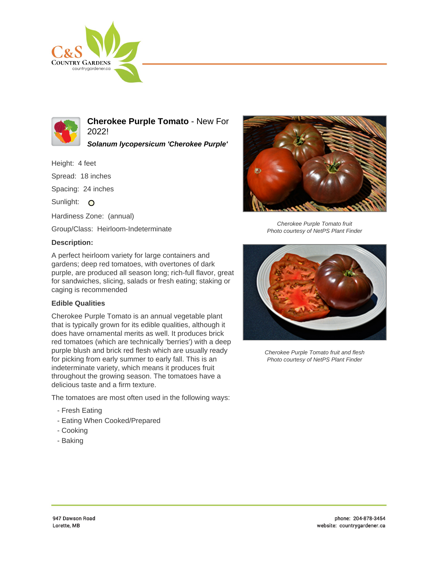



**Cherokee Purple Tomato** - New For 2022!

**Solanum lycopersicum 'Cherokee Purple'**

Height: 4 feet

Spread: 18 inches

Spacing: 24 inches

Sunlight: O

Hardiness Zone: (annual)

Group/Class: Heirloom-Indeterminate

## **Description:**

A perfect heirloom variety for large containers and gardens; deep red tomatoes, with overtones of dark purple, are produced all season long; rich-full flavor, great for sandwiches, slicing, salads or fresh eating; staking or caging is recommended

## **Edible Qualities**

Cherokee Purple Tomato is an annual vegetable plant that is typically grown for its edible qualities, although it does have ornamental merits as well. It produces brick red tomatoes (which are technically 'berries') with a deep purple blush and brick red flesh which are usually ready for picking from early summer to early fall. This is an indeterminate variety, which means it produces fruit throughout the growing season. The tomatoes have a delicious taste and a firm texture.

The tomatoes are most often used in the following ways:

- Fresh Eating
- Eating When Cooked/Prepared
- Cooking
- Baking



Cherokee Purple Tomato fruit Photo courtesy of NetPS Plant Finder



Cherokee Purple Tomato fruit and flesh Photo courtesy of NetPS Plant Finder